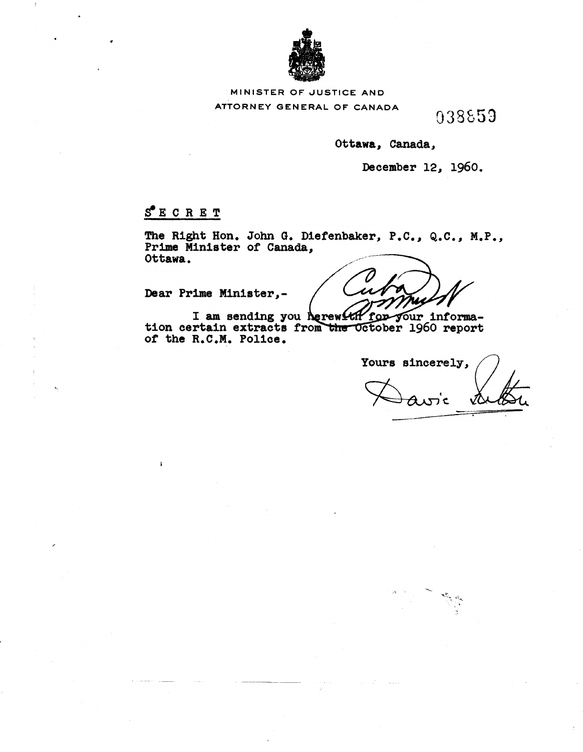

### MINISTER OF JUSTICE ANI

ATTORNEY GENERAL OF CANADA

038859

Ottawa, Canada,

December 12, 1960.

## SECRET

The Right Hon. John G. Diefenbaker, P.C., Q.C., M.P., Prime Minister of Canada, Ottawa.

Dear Prime Minister,-

I am sending you herewith ้ for your information certain extracts from the October 1960 report of the R.C.M. Police.

Yours sincerely, ATT C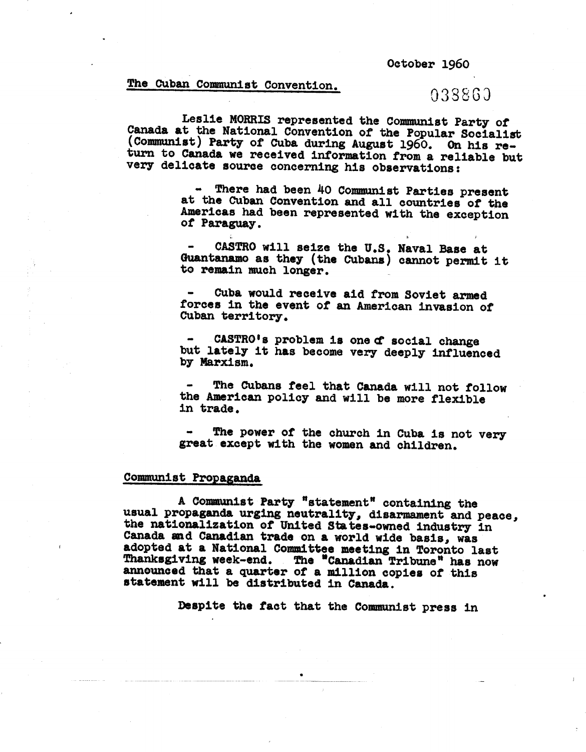October 1960

# The Cuban Communist Convention.  $03886$

..

Leslie MORRIS represented the Communist Party *ot* Canada at the National Convention *ot* the Popular Socialist (Communist) Party of Cuba during August 1960. On his return to Canada we received information trom a reliable but very delicate source concerning his observations:

> There had been 40 Communist Parties present at the Cuban Convention and all countries *ot* the Americas had been represented with the exception *ot* Paraguay •

> - CASTRO will seize the U.S. Naval Base at Guantanamo as they (the Cubans) cannot permit it to remain much longer.

Cuba would receive aid trom Soviet armed torces in the event of an American invasion *ot* Cuban territory.

CASTRO's problem is one of social change but lately it has become very deeply influenced by Marxism.

The Cubans feel that Canada will not follow the American policy and will be more flexible in trade.

The power of the church in Cuba is not very great except with the women and children.

## Communist Propaganda

A Communist Party "statement" containing the usual propaganda urging neutrality, disarmament and peace, the nationalization of United States-owned industry in Canada and Canadian trade on a world wide basis, was adopted at a National Committee meeting in Toronto last hanksgiving week-end. The "Canadian Tribune" has now mnounced that a quarter of a million copies of thi statement will be distributed in Oanada.

Despite the fact that the Communist press in